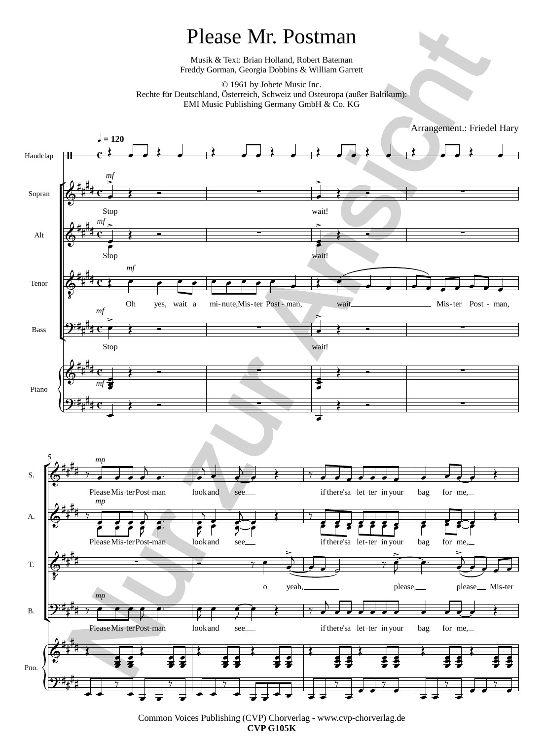## Please Mr. Postman

Musik & Text: Brian Holland, Robert Bateman Freddy Gorman, Georgia Dobbins & William Garrett

© 1961 by Jobete Music Inc. Rechte für Deutschland, Österreich, Schweiz und Osteuropa (außer Baltikum): EMI Music Publishing Germany GmbH & Co. KG



Common Voices Publishing (CVP) Chorverlag - www.cvp-chorverlag.de **CVP G105K**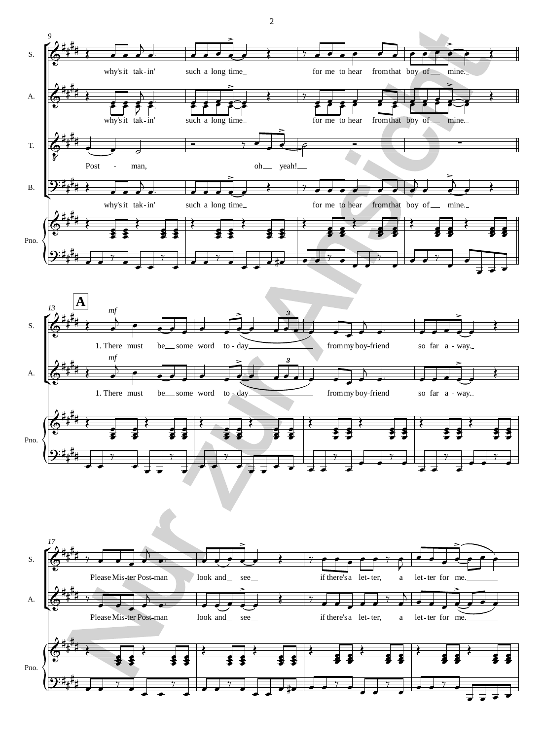

2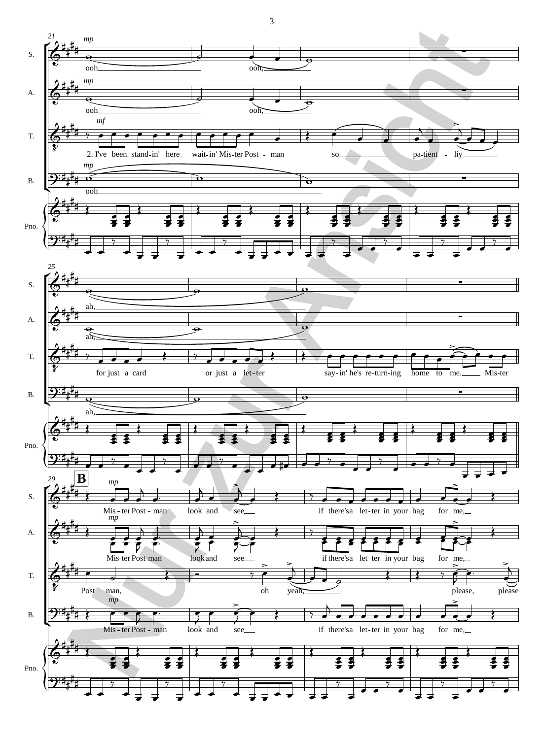

3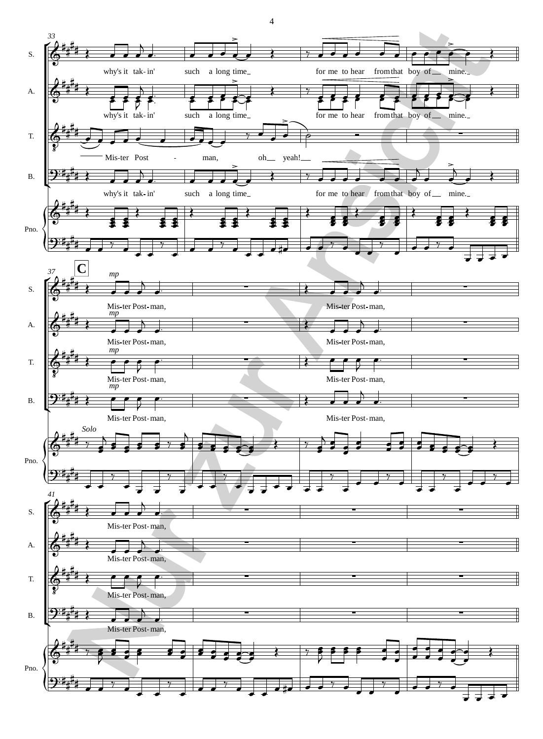